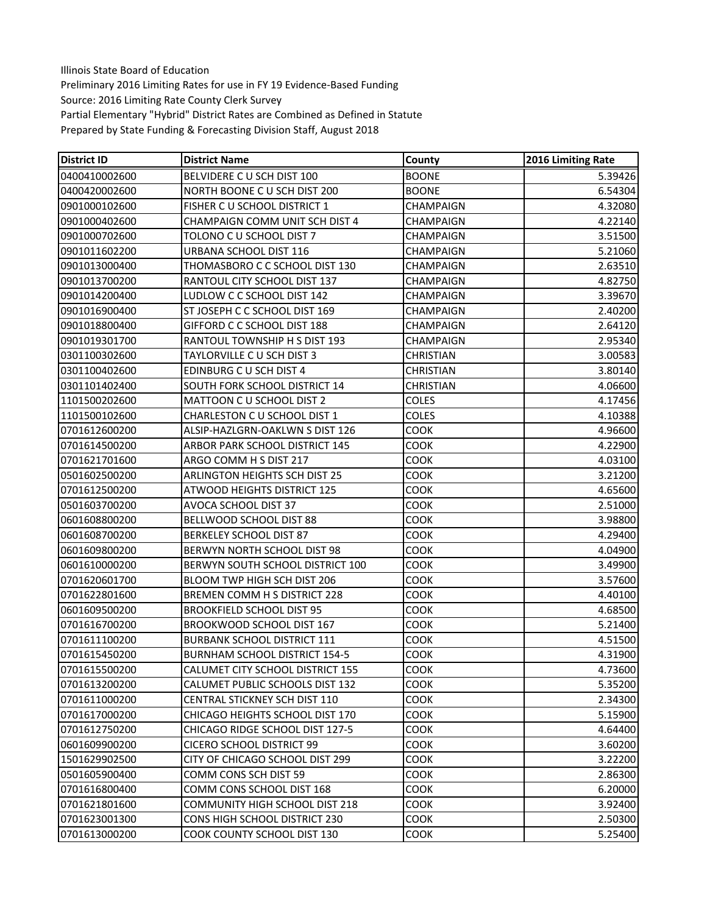| <b>District ID</b> | <b>District Name</b>                  | County           | 2016 Limiting Rate |
|--------------------|---------------------------------------|------------------|--------------------|
| 0400410002600      | BELVIDERE C U SCH DIST 100            | <b>BOONE</b>     | 5.39426            |
| 0400420002600      | NORTH BOONE C U SCH DIST 200          | <b>BOONE</b>     | 6.54304            |
| 0901000102600      | FISHER C U SCHOOL DISTRICT 1          | <b>CHAMPAIGN</b> | 4.32080            |
| 0901000402600      | CHAMPAIGN COMM UNIT SCH DIST 4        | CHAMPAIGN        | 4.22140            |
| 0901000702600      | TOLONO C U SCHOOL DIST 7              | CHAMPAIGN        | 3.51500            |
| 0901011602200      | URBANA SCHOOL DIST 116                | CHAMPAIGN        | 5.21060            |
| 0901013000400      | THOMASBORO C C SCHOOL DIST 130        | <b>CHAMPAIGN</b> | 2.63510            |
| 0901013700200      | RANTOUL CITY SCHOOL DIST 137          | CHAMPAIGN        | 4.82750            |
| 0901014200400      | LUDLOW C C SCHOOL DIST 142            | CHAMPAIGN        | 3.39670            |
| 0901016900400      | ST JOSEPH C C SCHOOL DIST 169         | CHAMPAIGN        | 2.40200            |
| 0901018800400      | GIFFORD C C SCHOOL DIST 188           | CHAMPAIGN        | 2.64120            |
| 0901019301700      | RANTOUL TOWNSHIP H S DIST 193         | CHAMPAIGN        | 2.95340            |
| 0301100302600      | TAYLORVILLE C U SCH DIST 3            | <b>CHRISTIAN</b> | 3.00583            |
| 0301100402600      | EDINBURG C U SCH DIST 4               | <b>CHRISTIAN</b> | 3.80140            |
| 0301101402400      | SOUTH FORK SCHOOL DISTRICT 14         | <b>CHRISTIAN</b> | 4.06600            |
| 1101500202600      | MATTOON C U SCHOOL DIST 2             | COLES            | 4.17456            |
| 1101500102600      | CHARLESTON C U SCHOOL DIST 1          | <b>COLES</b>     | 4.10388            |
| 0701612600200      | ALSIP-HAZLGRN-OAKLWN S DIST 126       | COOK             | 4.96600            |
| 0701614500200      | <b>ARBOR PARK SCHOOL DISTRICT 145</b> | COOK             | 4.22900            |
| 0701621701600      | ARGO COMM H S DIST 217                | <b>COOK</b>      | 4.03100            |
| 0501602500200      | <b>ARLINGTON HEIGHTS SCH DIST 25</b>  | COOK             | 3.21200            |
| 0701612500200      | <b>ATWOOD HEIGHTS DISTRICT 125</b>    | COOK             | 4.65600            |
| 0501603700200      | AVOCA SCHOOL DIST 37                  | COOK             | 2.51000            |
| 0601608800200      | BELLWOOD SCHOOL DIST 88               | <b>COOK</b>      | 3.98800            |
| 0601608700200      | BERKELEY SCHOOL DIST 87               | COOK             | 4.29400            |
| 0601609800200      | BERWYN NORTH SCHOOL DIST 98           | COOK             | 4.04900            |
| 0601610000200      | BERWYN SOUTH SCHOOL DISTRICT 100      | COOK             | 3.49900            |
| 0701620601700      | BLOOM TWP HIGH SCH DIST 206           | COOK             | 3.57600            |
| 0701622801600      | BREMEN COMM H S DISTRICT 228          | COOK             | 4.40100            |
| 0601609500200      | <b>BROOKFIELD SCHOOL DIST 95</b>      | COOK             | 4.68500            |
| 0701616700200      | BROOKWOOD SCHOOL DIST 167             | COOK             | 5.21400            |
| 0701611100200      | <b>BURBANK SCHOOL DISTRICT 111</b>    | COOK             | 4.51500            |
| 0701615450200      | <b>BURNHAM SCHOOL DISTRICT 154-5</b>  | <b>COOK</b>      | 4.31900            |
| 0701615500200      | CALUMET CITY SCHOOL DISTRICT 155      | <b>COOK</b>      | 4.73600            |
| 0701613200200      | CALUMET PUBLIC SCHOOLS DIST 132       | COOK             | 5.35200            |
| 0701611000200      | <b>CENTRAL STICKNEY SCH DIST 110</b>  | COOK             | 2.34300            |
| 0701617000200      | CHICAGO HEIGHTS SCHOOL DIST 170       | COOK             | 5.15900            |
| 0701612750200      | CHICAGO RIDGE SCHOOL DIST 127-5       | COOK             | 4.64400            |
| 0601609900200      | <b>CICERO SCHOOL DISTRICT 99</b>      | COOK             | 3.60200            |
| 1501629902500      | CITY OF CHICAGO SCHOOL DIST 299       | COOK             | 3.22200            |
| 0501605900400      | COMM CONS SCH DIST 59                 | COOK             | 2.86300            |
| 0701616800400      | COMM CONS SCHOOL DIST 168             | COOK             | 6.20000            |
| 0701621801600      | COMMUNITY HIGH SCHOOL DIST 218        | COOK             | 3.92400            |
| 0701623001300      | <b>CONS HIGH SCHOOL DISTRICT 230</b>  | COOK             | 2.50300            |
| 0701613000200      | COOK COUNTY SCHOOL DIST 130           | COOK             | 5.25400            |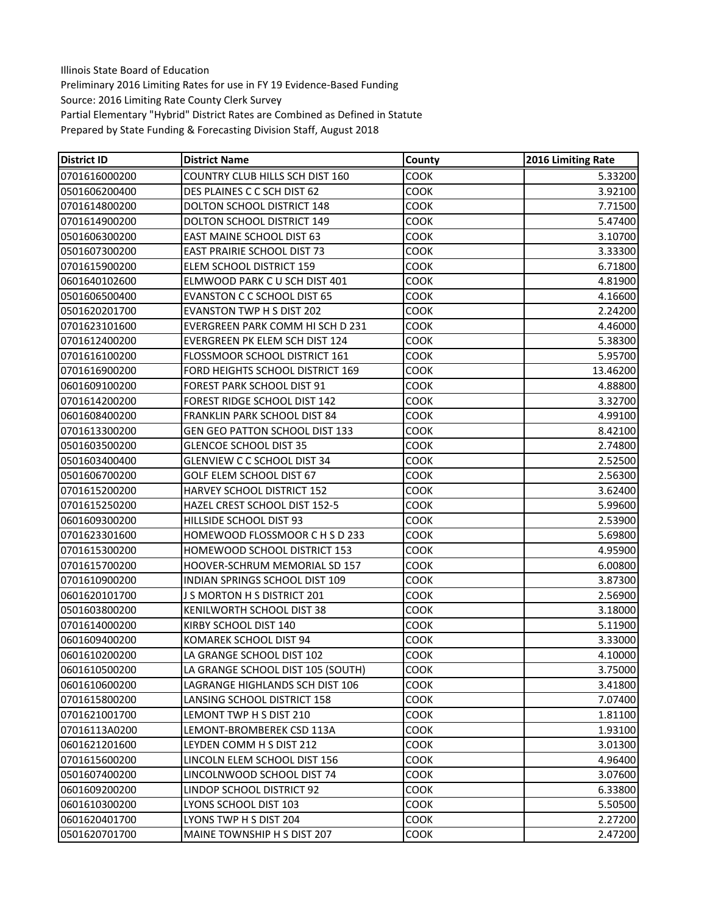| <b>District ID</b> | <b>District Name</b>                   | County      | 2016 Limiting Rate |
|--------------------|----------------------------------------|-------------|--------------------|
| 0701616000200      | <b>COUNTRY CLUB HILLS SCH DIST 160</b> | <b>COOK</b> | 5.33200            |
| 0501606200400      | DES PLAINES C C SCH DIST 62            | <b>COOK</b> | 3.92100            |
| 0701614800200      | <b>DOLTON SCHOOL DISTRICT 148</b>      | <b>COOK</b> | 7.71500            |
| 0701614900200      | <b>DOLTON SCHOOL DISTRICT 149</b>      | COOK        | 5.47400            |
| 0501606300200      | <b>EAST MAINE SCHOOL DIST 63</b>       | <b>COOK</b> | 3.10700            |
| 0501607300200      | <b>EAST PRAIRIE SCHOOL DIST 73</b>     | COOK        | 3.33300            |
| 0701615900200      | ELEM SCHOOL DISTRICT 159               | COOK        | 6.71800            |
| 0601640102600      | ELMWOOD PARK C U SCH DIST 401          | COOK        | 4.81900            |
| 0501606500400      | <b>EVANSTON C C SCHOOL DIST 65</b>     | COOK        | 4.16600            |
| 0501620201700      | <b>EVANSTON TWP H S DIST 202</b>       | <b>COOK</b> | 2.24200            |
| 0701623101600      | EVERGREEN PARK COMM HI SCH D 231       | COOK        | 4.46000            |
| 0701612400200      | EVERGREEN PK ELEM SCH DIST 124         | COOK        | 5.38300            |
| 0701616100200      | FLOSSMOOR SCHOOL DISTRICT 161          | COOK        | 5.95700            |
| 0701616900200      | FORD HEIGHTS SCHOOL DISTRICT 169       | <b>COOK</b> | 13.46200           |
| 0601609100200      | FOREST PARK SCHOOL DIST 91             | COOK        | 4.88800            |
| 0701614200200      | <b>FOREST RIDGE SCHOOL DIST 142</b>    | COOK        | 3.32700            |
| 0601608400200      | <b>FRANKLIN PARK SCHOOL DIST 84</b>    | COOK        | 4.99100            |
| 0701613300200      | GEN GEO PATTON SCHOOL DIST 133         | <b>COOK</b> | 8.42100            |
| 0501603500200      | <b>GLENCOE SCHOOL DIST 35</b>          | <b>COOK</b> | 2.74800            |
| 0501603400400      | <b>GLENVIEW C C SCHOOL DIST 34</b>     | COOK        | 2.52500            |
| 0501606700200      | GOLF ELEM SCHOOL DIST 67               | COOK        | 2.56300            |
| 0701615200200      | HARVEY SCHOOL DISTRICT 152             | COOK        | 3.62400            |
| 0701615250200      | <b>HAZEL CREST SCHOOL DIST 152-5</b>   | COOK        | 5.99600            |
| 0601609300200      | HILLSIDE SCHOOL DIST 93                | COOK        | 2.53900            |
| 0701623301600      | HOMEWOOD FLOSSMOOR C H S D 233         | COOK        | 5.69800            |
| 0701615300200      | <b>HOMEWOOD SCHOOL DISTRICT 153</b>    | <b>COOK</b> | 4.95900            |
| 0701615700200      | HOOVER-SCHRUM MEMORIAL SD 157          | <b>COOK</b> | 6.00800            |
| 0701610900200      | INDIAN SPRINGS SCHOOL DIST 109         | COOK        | 3.87300            |
| 0601620101700      | J S MORTON H S DISTRICT 201            | COOK        | 2.56900            |
| 0501603800200      | KENILWORTH SCHOOL DIST 38              | COOK        | 3.18000            |
| 0701614000200      | KIRBY SCHOOL DIST 140                  | COOK        | 5.11900            |
| 0601609400200      | KOMAREK SCHOOL DIST 94                 | COOK        | 3.33000            |
| 0601610200200      | LA GRANGE SCHOOL DIST 102              | COOK        | 4.10000            |
| 0601610500200      | LA GRANGE SCHOOL DIST 105 (SOUTH)      | COOK        | 3.75000            |
| 0601610600200      | LAGRANGE HIGHLANDS SCH DIST 106        | COOK        | 3.41800            |
| 0701615800200      | LANSING SCHOOL DISTRICT 158            | COOK        | 7.07400            |
| 0701621001700      | LEMONT TWP H S DIST 210                | COOK        | 1.81100            |
| 07016113A0200      | LEMONT-BROMBEREK CSD 113A              | COOK        | 1.93100            |
| 0601621201600      | LEYDEN COMM H S DIST 212               | COOK        | 3.01300            |
| 0701615600200      | LINCOLN ELEM SCHOOL DIST 156           | COOK        | 4.96400            |
| 0501607400200      | LINCOLNWOOD SCHOOL DIST 74             | COOK        | 3.07600            |
| 0601609200200      | LINDOP SCHOOL DISTRICT 92              | COOK        | 6.33800            |
| 0601610300200      | LYONS SCHOOL DIST 103                  | COOK        | 5.50500            |
| 0601620401700      | LYONS TWP H S DIST 204                 | COOK        | 2.27200            |
| 0501620701700      | MAINE TOWNSHIP H S DIST 207            | COOK        | 2.47200            |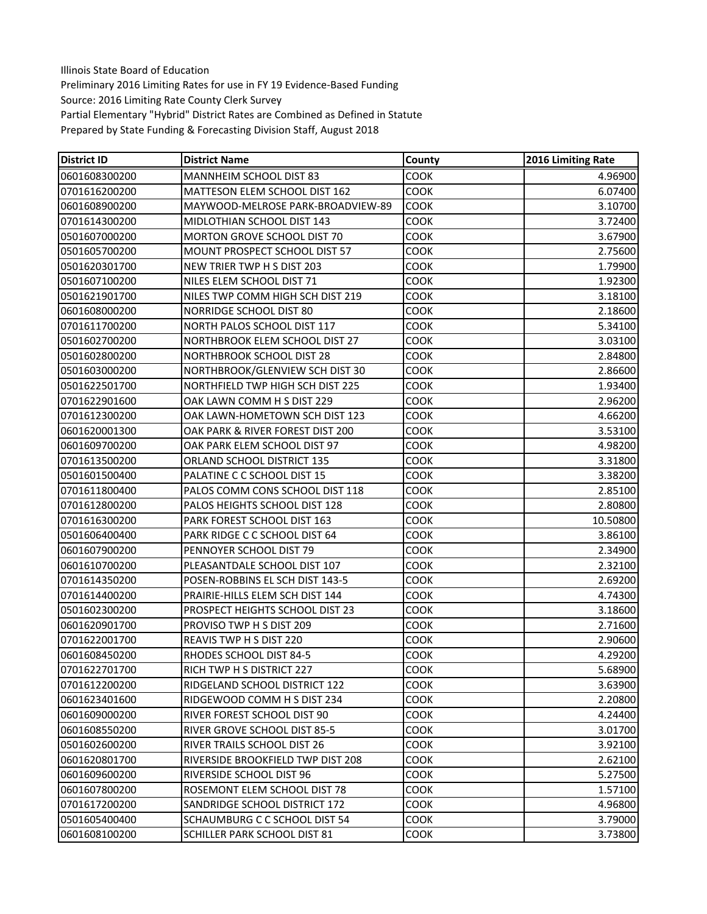| <b>District ID</b> | <b>District Name</b>               | County      | 2016 Limiting Rate |
|--------------------|------------------------------------|-------------|--------------------|
| 0601608300200      | <b>MANNHEIM SCHOOL DIST 83</b>     | COOK        | 4.96900            |
| 0701616200200      | MATTESON ELEM SCHOOL DIST 162      | COOK        | 6.07400            |
| 0601608900200      | MAYWOOD-MELROSE PARK-BROADVIEW-89  | COOK        | 3.10700            |
| 0701614300200      | MIDLOTHIAN SCHOOL DIST 143         | COOK        | 3.72400            |
| 0501607000200      | <b>MORTON GROVE SCHOOL DIST 70</b> | COOK        | 3.67900            |
| 0501605700200      | MOUNT PROSPECT SCHOOL DIST 57      | COOK        | 2.75600            |
| 0501620301700      | NEW TRIER TWP H S DIST 203         | COOK        | 1.79900            |
| 0501607100200      | NILES ELEM SCHOOL DIST 71          | <b>COOK</b> | 1.92300            |
| 0501621901700      | NILES TWP COMM HIGH SCH DIST 219   | COOK        | 3.18100            |
| 0601608000200      | NORRIDGE SCHOOL DIST 80            | COOK        | 2.18600            |
| 0701611700200      | NORTH PALOS SCHOOL DIST 117        | COOK        | 5.34100            |
| 0501602700200      | NORTHBROOK ELEM SCHOOL DIST 27     | COOK        | 3.03100            |
| 0501602800200      | <b>NORTHBROOK SCHOOL DIST 28</b>   | COOK        | 2.84800            |
| 0501603000200      | NORTHBROOK/GLENVIEW SCH DIST 30    | <b>COOK</b> | 2.86600            |
| 0501622501700      | NORTHFIELD TWP HIGH SCH DIST 225   | COOK        | 1.93400            |
| 0701622901600      | OAK LAWN COMM H S DIST 229         | COOK        | 2.96200            |
| 0701612300200      | OAK LAWN-HOMETOWN SCH DIST 123     | COOK        | 4.66200            |
| 0601620001300      | OAK PARK & RIVER FOREST DIST 200   | COOK        | 3.53100            |
| 0601609700200      | OAK PARK ELEM SCHOOL DIST 97       | COOK        | 4.98200            |
| 0701613500200      | <b>ORLAND SCHOOL DISTRICT 135</b>  | COOK        | 3.31800            |
| 0501601500400      | PALATINE C C SCHOOL DIST 15        | COOK        | 3.38200            |
| 0701611800400      | PALOS COMM CONS SCHOOL DIST 118    | COOK        | 2.85100            |
| 0701612800200      | PALOS HEIGHTS SCHOOL DIST 128      | COOK        | 2.80800            |
| 0701616300200      | PARK FOREST SCHOOL DIST 163        | COOK        | 10.50800           |
| 0501606400400      | PARK RIDGE C C SCHOOL DIST 64      | COOK        | 3.86100            |
| 0601607900200      | PENNOYER SCHOOL DIST 79            | COOK        | 2.34900            |
| 0601610700200      | PLEASANTDALE SCHOOL DIST 107       | COOK        | 2.32100            |
| 0701614350200      | POSEN-ROBBINS EL SCH DIST 143-5    | COOK        | 2.69200            |
| 0701614400200      | PRAIRIE-HILLS ELEM SCH DIST 144    | COOK        | 4.74300            |
| 0501602300200      | PROSPECT HEIGHTS SCHOOL DIST 23    | COOK        | 3.18600            |
| 0601620901700      | PROVISO TWP H S DIST 209           | COOK        | 2.71600            |
| 0701622001700      | <b>REAVIS TWP H S DIST 220</b>     | COOK        | 2.90600            |
| 0601608450200      | RHODES SCHOOL DIST 84-5            | <b>COOK</b> | 4.29200            |
| 0701622701700      | RICH TWP H S DISTRICT 227          | COOK        | 5.68900            |
| 0701612200200      | RIDGELAND SCHOOL DISTRICT 122      | COOK        | 3.63900            |
| 0601623401600      | RIDGEWOOD COMM H S DIST 234        | COOK        | 2.20800            |
| 0601609000200      | RIVER FOREST SCHOOL DIST 90        | COOK        | 4.24400            |
| 0601608550200      | RIVER GROVE SCHOOL DIST 85-5       | COOK        | 3.01700            |
| 0501602600200      | <b>RIVER TRAILS SCHOOL DIST 26</b> | COOK        | 3.92100            |
| 0601620801700      | RIVERSIDE BROOKFIELD TWP DIST 208  | COOK        | 2.62100            |
| 0601609600200      | <b>RIVERSIDE SCHOOL DIST 96</b>    | COOK        | 5.27500            |
| 0601607800200      | ROSEMONT ELEM SCHOOL DIST 78       | COOK        | 1.57100            |
| 0701617200200      | SANDRIDGE SCHOOL DISTRICT 172      | COOK        | 4.96800            |
| 0501605400400      | SCHAUMBURG C C SCHOOL DIST 54      | COOK        | 3.79000            |
| 0601608100200      | SCHILLER PARK SCHOOL DIST 81       | <b>COOK</b> | 3.73800            |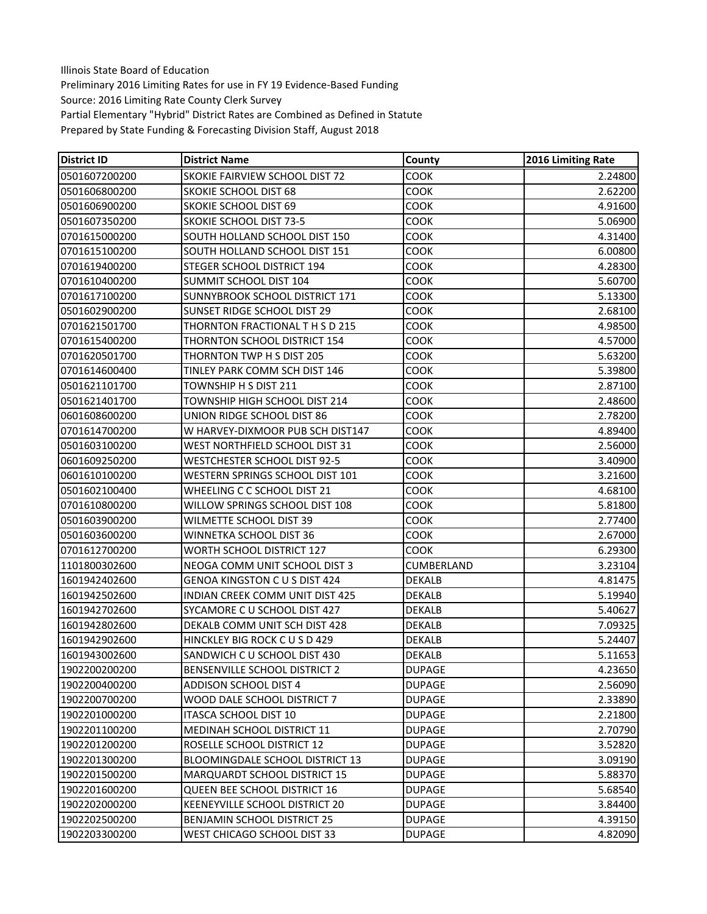| <b>District ID</b> | <b>District Name</b>                   | County        | 2016 Limiting Rate |
|--------------------|----------------------------------------|---------------|--------------------|
| 0501607200200      | SKOKIE FAIRVIEW SCHOOL DIST 72         | COOK          | 2.24800            |
| 0501606800200      | <b>SKOKIE SCHOOL DIST 68</b>           | <b>COOK</b>   | 2.62200            |
| 0501606900200      | <b>SKOKIE SCHOOL DIST 69</b>           | COOK          | 4.91600            |
| 0501607350200      | <b>SKOKIE SCHOOL DIST 73-5</b>         | COOK          | 5.06900            |
| 0701615000200      | SOUTH HOLLAND SCHOOL DIST 150          | COOK          | 4.31400            |
| 0701615100200      | SOUTH HOLLAND SCHOOL DIST 151          | COOK          | 6.00800            |
| 0701619400200      | STEGER SCHOOL DISTRICT 194             | COOK          | 4.28300            |
| 0701610400200      | SUMMIT SCHOOL DIST 104                 | <b>COOK</b>   | 5.60700            |
| 0701617100200      | SUNNYBROOK SCHOOL DISTRICT 171         | COOK          | 5.13300            |
| 0501602900200      | <b>SUNSET RIDGE SCHOOL DIST 29</b>     | <b>COOK</b>   | 2.68100            |
| 0701621501700      | THORNTON FRACTIONAL T H S D 215        | COOK          | 4.98500            |
| 0701615400200      | THORNTON SCHOOL DISTRICT 154           | COOK          | 4.57000            |
| 0701620501700      | THORNTON TWP H S DIST 205              | COOK          | 5.63200            |
| 0701614600400      | TINLEY PARK COMM SCH DIST 146          | <b>COOK</b>   | 5.39800            |
| 0501621101700      | TOWNSHIP H S DIST 211                  | COOK          | 2.87100            |
| 0501621401700      | TOWNSHIP HIGH SCHOOL DIST 214          | COOK          | 2.48600            |
| 0601608600200      | UNION RIDGE SCHOOL DIST 86             | COOK          | 2.78200            |
| 0701614700200      | W HARVEY-DIXMOOR PUB SCH DIST147       | COOK          | 4.89400            |
| 0501603100200      | WEST NORTHFIELD SCHOOL DIST 31         | COOK          | 2.56000            |
| 0601609250200      | <b>WESTCHESTER SCHOOL DIST 92-5</b>    | COOK          | 3.40900            |
| 0601610100200      | WESTERN SPRINGS SCHOOL DIST 101        | COOK          | 3.21600            |
| 0501602100400      | WHEELING C C SCHOOL DIST 21            | COOK          | 4.68100            |
| 0701610800200      | WILLOW SPRINGS SCHOOL DIST 108         | COOK          | 5.81800            |
| 0501603900200      | WILMETTE SCHOOL DIST 39                | COOK          | 2.77400            |
| 0501603600200      | WINNETKA SCHOOL DIST 36                | COOK          | 2.67000            |
| 0701612700200      | WORTH SCHOOL DISTRICT 127              | <b>COOK</b>   | 6.29300            |
| 1101800302600      | NEOGA COMM UNIT SCHOOL DIST 3          | CUMBERLAND    | 3.23104            |
| 1601942402600      | <b>GENOA KINGSTON C U S DIST 424</b>   | <b>DEKALB</b> | 4.81475            |
| 1601942502600      | <b>INDIAN CREEK COMM UNIT DIST 425</b> | <b>DEKALB</b> | 5.19940            |
| 1601942702600      | SYCAMORE C U SCHOOL DIST 427           | DEKALB        | 5.40627            |
| 1601942802600      | DEKALB COMM UNIT SCH DIST 428          | <b>DEKALB</b> | 7.09325            |
| 1601942902600      | HINCKLEY BIG ROCK C U S D 429          | <b>DEKALB</b> | 5.24407            |
| 1601943002600      | SANDWICH C U SCHOOL DIST 430           | <b>DEKALB</b> | 5.11653            |
| 1902200200200      | BENSENVILLE SCHOOL DISTRICT 2          | <b>DUPAGE</b> | 4.23650            |
| 1902200400200      | ADDISON SCHOOL DIST 4                  | <b>DUPAGE</b> | 2.56090            |
| 1902200700200      | WOOD DALE SCHOOL DISTRICT 7            | <b>DUPAGE</b> | 2.33890            |
| 1902201000200      | ITASCA SCHOOL DIST 10                  | <b>DUPAGE</b> | 2.21800            |
| 1902201100200      | MEDINAH SCHOOL DISTRICT 11             | <b>DUPAGE</b> | 2.70790            |
| 1902201200200      | ROSELLE SCHOOL DISTRICT 12             | <b>DUPAGE</b> | 3.52820            |
| 1902201300200      | BLOOMINGDALE SCHOOL DISTRICT 13        | <b>DUPAGE</b> | 3.09190            |
| 1902201500200      | MARQUARDT SCHOOL DISTRICT 15           | <b>DUPAGE</b> | 5.88370            |
| 1902201600200      | QUEEN BEE SCHOOL DISTRICT 16           | <b>DUPAGE</b> | 5.68540            |
| 1902202000200      | KEENEYVILLE SCHOOL DISTRICT 20         | <b>DUPAGE</b> | 3.84400            |
| 1902202500200      | <b>BENJAMIN SCHOOL DISTRICT 25</b>     | <b>DUPAGE</b> | 4.39150            |
| 1902203300200      | WEST CHICAGO SCHOOL DIST 33            | <b>DUPAGE</b> | 4.82090            |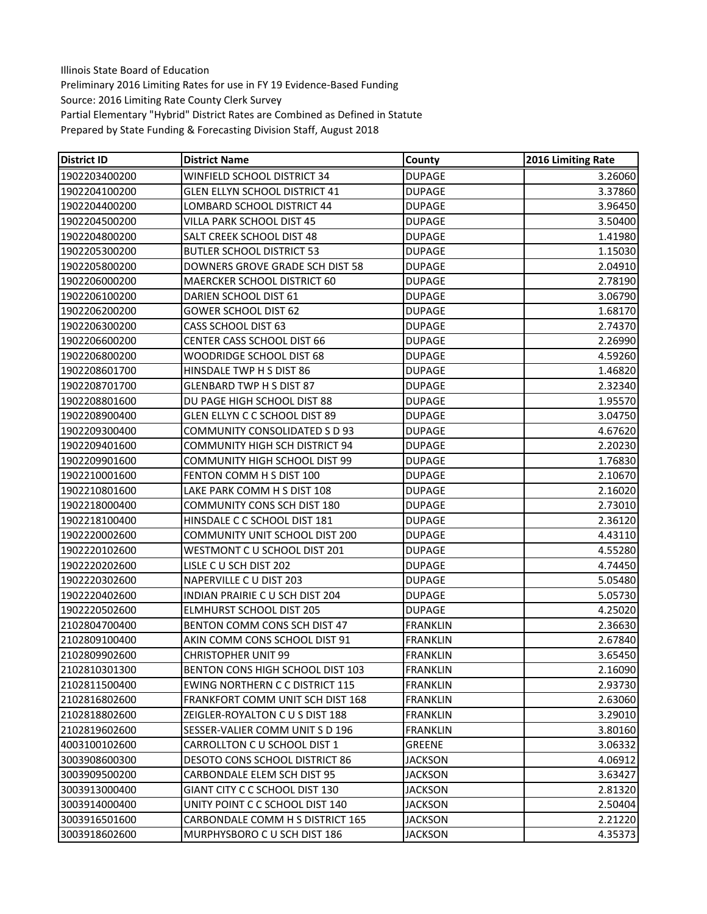| <b>District ID</b> | <b>District Name</b>                   | County          | 2016 Limiting Rate |
|--------------------|----------------------------------------|-----------------|--------------------|
| 1902203400200      | WINFIELD SCHOOL DISTRICT 34            | <b>DUPAGE</b>   | 3.26060            |
| 1902204100200      | <b>GLEN ELLYN SCHOOL DISTRICT 41</b>   | <b>DUPAGE</b>   | 3.37860            |
| 1902204400200      | LOMBARD SCHOOL DISTRICT 44             | <b>DUPAGE</b>   | 3.96450            |
| 1902204500200      | VILLA PARK SCHOOL DIST 45              | <b>DUPAGE</b>   | 3.50400            |
| 1902204800200      | SALT CREEK SCHOOL DIST 48              | <b>DUPAGE</b>   | 1.41980            |
| 1902205300200      | <b>BUTLER SCHOOL DISTRICT 53</b>       | <b>DUPAGE</b>   | 1.15030            |
| 1902205800200      | DOWNERS GROVE GRADE SCH DIST 58        | <b>DUPAGE</b>   | 2.04910            |
| 1902206000200      | MAERCKER SCHOOL DISTRICT 60            | <b>DUPAGE</b>   | 2.78190            |
| 1902206100200      | DARIEN SCHOOL DIST 61                  | <b>DUPAGE</b>   | 3.06790            |
| 1902206200200      | <b>GOWER SCHOOL DIST 62</b>            | <b>DUPAGE</b>   | 1.68170            |
| 1902206300200      | CASS SCHOOL DIST 63                    | <b>DUPAGE</b>   | 2.74370            |
| 1902206600200      | <b>CENTER CASS SCHOOL DIST 66</b>      | <b>DUPAGE</b>   | 2.26990            |
| 1902206800200      | WOODRIDGE SCHOOL DIST 68               | <b>DUPAGE</b>   | 4.59260            |
| 1902208601700      | HINSDALE TWP H S DIST 86               | <b>DUPAGE</b>   | 1.46820            |
| 1902208701700      | <b>GLENBARD TWP H S DIST 87</b>        | <b>DUPAGE</b>   | 2.32340            |
| 1902208801600      | DU PAGE HIGH SCHOOL DIST 88            | <b>DUPAGE</b>   | 1.95570            |
| 1902208900400      | GLEN ELLYN C C SCHOOL DIST 89          | <b>DUPAGE</b>   | 3.04750            |
| 1902209300400      | <b>COMMUNITY CONSOLIDATED S D 93</b>   | <b>DUPAGE</b>   | 4.67620            |
| 1902209401600      | <b>COMMUNITY HIGH SCH DISTRICT 94</b>  | <b>DUPAGE</b>   | 2.20230            |
| 1902209901600      | <b>COMMUNITY HIGH SCHOOL DIST 99</b>   | <b>DUPAGE</b>   | 1.76830            |
| 1902210001600      | FENTON COMM H S DIST 100               | <b>DUPAGE</b>   | 2.10670            |
| 1902210801600      | LAKE PARK COMM H S DIST 108            | <b>DUPAGE</b>   | 2.16020            |
| 1902218000400      | <b>COMMUNITY CONS SCH DIST 180</b>     | <b>DUPAGE</b>   | 2.73010            |
| 1902218100400      | HINSDALE C C SCHOOL DIST 181           | <b>DUPAGE</b>   | 2.36120            |
| 1902220002600      | COMMUNITY UNIT SCHOOL DIST 200         | <b>DUPAGE</b>   | 4.43110            |
| 1902220102600      | WESTMONT C U SCHOOL DIST 201           | <b>DUPAGE</b>   | 4.55280            |
| 1902220202600      | LISLE C U SCH DIST 202                 | <b>DUPAGE</b>   | 4.74450            |
| 1902220302600      | NAPERVILLE C U DIST 203                | <b>DUPAGE</b>   | 5.05480            |
| 1902220402600      | INDIAN PRAIRIE C U SCH DIST 204        | <b>DUPAGE</b>   | 5.05730            |
| 1902220502600      | <b>ELMHURST SCHOOL DIST 205</b>        | <b>DUPAGE</b>   | 4.25020            |
| 2102804700400      | BENTON COMM CONS SCH DIST 47           | <b>FRANKLIN</b> | 2.36630            |
| 2102809100400      | AKIN COMM CONS SCHOOL DIST 91          | <b>FRANKLIN</b> | 2.67840            |
| 2102809902600      | <b>CHRISTOPHER UNIT 99</b>             | <b>FRANKLIN</b> | 3.65450            |
| 2102810301300      | BENTON CONS HIGH SCHOOL DIST 103       | <b>FRANKLIN</b> | 2.16090            |
| 2102811500400      | <b>EWING NORTHERN C C DISTRICT 115</b> | <b>FRANKLIN</b> | 2.93730            |
| 2102816802600      | FRANKFORT COMM UNIT SCH DIST 168       | <b>FRANKLIN</b> | 2.63060            |
| 2102818802600      | ZEIGLER-ROYALTON C U S DIST 188        | <b>FRANKLIN</b> | 3.29010            |
| 2102819602600      | SESSER-VALIER COMM UNIT S D 196        | <b>FRANKLIN</b> | 3.80160            |
| 4003100102600      | CARROLLTON C U SCHOOL DIST 1           | GREENE          | 3.06332            |
| 3003908600300      | DESOTO CONS SCHOOL DISTRICT 86         | <b>JACKSON</b>  | 4.06912            |
| 3003909500200      | CARBONDALE ELEM SCH DIST 95            | <b>JACKSON</b>  | 3.63427            |
| 3003913000400      | GIANT CITY C C SCHOOL DIST 130         | <b>JACKSON</b>  | 2.81320            |
| 3003914000400      | UNITY POINT C C SCHOOL DIST 140        | <b>JACKSON</b>  | 2.50404            |
| 3003916501600      | CARBONDALE COMM H S DISTRICT 165       | JACKSON         | 2.21220            |
| 3003918602600      | MURPHYSBORO C U SCH DIST 186           | <b>JACKSON</b>  | 4.35373            |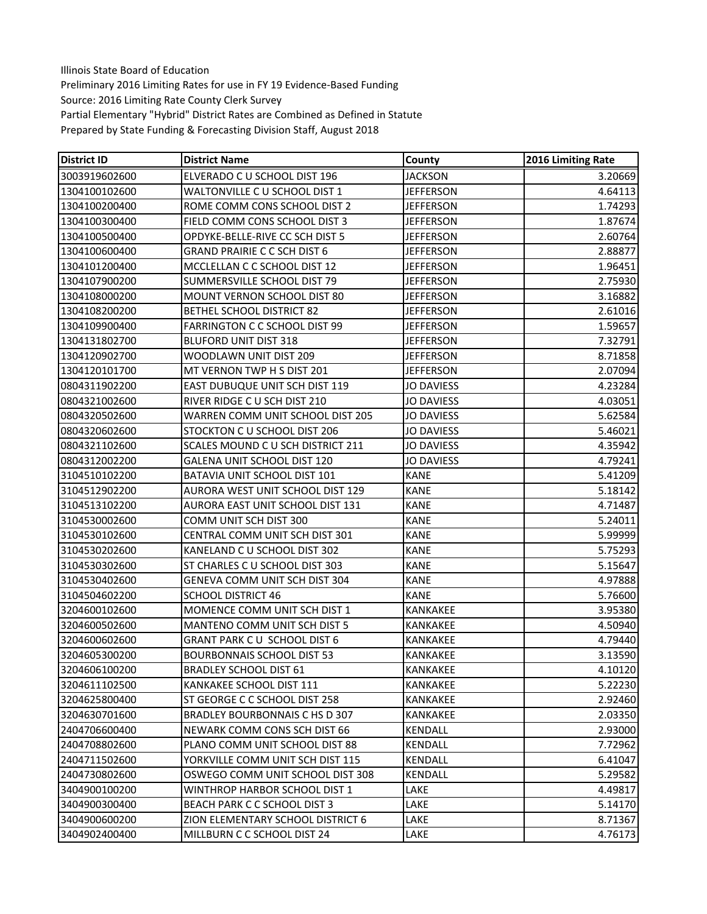| <b>District ID</b> | <b>District Name</b>                  | County            | 2016 Limiting Rate |
|--------------------|---------------------------------------|-------------------|--------------------|
| 3003919602600      | ELVERADO C U SCHOOL DIST 196          | <b>JACKSON</b>    | 3.20669            |
| 1304100102600      | WALTONVILLE C U SCHOOL DIST 1         | <b>JEFFERSON</b>  | 4.64113            |
| 1304100200400      | ROME COMM CONS SCHOOL DIST 2          | <b>JEFFERSON</b>  | 1.74293            |
| 1304100300400      | FIELD COMM CONS SCHOOL DIST 3         | JEFFERSON         | 1.87674            |
| 1304100500400      | OPDYKE-BELLE-RIVE CC SCH DIST 5       | <b>JEFFERSON</b>  | 2.60764            |
| 1304100600400      | <b>GRAND PRAIRIE C C SCH DIST 6</b>   | JEFFERSON         | 2.88877            |
| 1304101200400      | MCCLELLAN C C SCHOOL DIST 12          | <b>JEFFERSON</b>  | 1.96451            |
| 1304107900200      | SUMMERSVILLE SCHOOL DIST 79           | <b>JEFFERSON</b>  | 2.75930            |
| 1304108000200      | MOUNT VERNON SCHOOL DIST 80           | <b>JEFFERSON</b>  | 3.16882            |
| 1304108200200      | BETHEL SCHOOL DISTRICT 82             | <b>JEFFERSON</b>  | 2.61016            |
| 1304109900400      | <b>FARRINGTON C C SCHOOL DIST 99</b>  | <b>JEFFERSON</b>  | 1.59657            |
| 1304131802700      | <b>BLUFORD UNIT DIST 318</b>          | JEFFERSON         | 7.32791            |
| 1304120902700      | WOODLAWN UNIT DIST 209                | JEFFERSON         | 8.71858            |
| 1304120101700      | MT VERNON TWP H S DIST 201            | <b>JEFFERSON</b>  | 2.07094            |
| 0804311902200      | EAST DUBUQUE UNIT SCH DIST 119        | <b>JO DAVIESS</b> | 4.23284            |
| 0804321002600      | RIVER RIDGE C U SCH DIST 210          | <b>JO DAVIESS</b> | 4.03051            |
| 0804320502600      | WARREN COMM UNIT SCHOOL DIST 205      | <b>JO DAVIESS</b> | 5.62584            |
| 0804320602600      | STOCKTON C U SCHOOL DIST 206          | <b>JO DAVIESS</b> | 5.46021            |
| 0804321102600      | SCALES MOUND C U SCH DISTRICT 211     | <b>JO DAVIESS</b> | 4.35942            |
| 0804312002200      | GALENA UNIT SCHOOL DIST 120           | <b>JO DAVIESS</b> | 4.79241            |
| 3104510102200      | BATAVIA UNIT SCHOOL DIST 101          | <b>KANE</b>       | 5.41209            |
| 3104512902200      | AURORA WEST UNIT SCHOOL DIST 129      | <b>KANE</b>       | 5.18142            |
| 3104513102200      | AURORA EAST UNIT SCHOOL DIST 131      | <b>KANE</b>       | 4.71487            |
| 3104530002600      | COMM UNIT SCH DIST 300                | <b>KANE</b>       | 5.24011            |
| 3104530102600      | <b>CENTRAL COMM UNIT SCH DIST 301</b> | <b>KANE</b>       | 5.99999            |
| 3104530202600      | KANELAND C U SCHOOL DIST 302          | <b>KANE</b>       | 5.75293            |
| 3104530302600      | ST CHARLES C U SCHOOL DIST 303        | <b>KANE</b>       | 5.15647            |
| 3104530402600      | GENEVA COMM UNIT SCH DIST 304         | <b>KANE</b>       | 4.97888            |
| 3104504602200      | <b>SCHOOL DISTRICT 46</b>             | <b>KANE</b>       | 5.76600            |
| 3204600102600      | MOMENCE COMM UNIT SCH DIST 1          | KANKAKEE          | 3.95380            |
| 3204600502600      | <b>MANTENO COMM UNIT SCH DIST 5</b>   | KANKAKEE          | 4.50940            |
| 3204600602600      | <b>GRANT PARK C U SCHOOL DIST 6</b>   | <b>KANKAKEE</b>   | 4.79440            |
| 3204605300200      | <b>BOURBONNAIS SCHOOL DIST 53</b>     | <b>KANKAKEE</b>   | 3.13590            |
| 3204606100200      | <b>BRADLEY SCHOOL DIST 61</b>         | <b>KANKAKEE</b>   | 4.10120            |
| 3204611102500      | KANKAKEE SCHOOL DIST 111              | KANKAKEE          | 5.22230            |
| 3204625800400      | ST GEORGE C C SCHOOL DIST 258         | KANKAKEE          | 2.92460            |
| 3204630701600      | BRADLEY BOURBONNAIS C HS D 307        | KANKAKEE          | 2.03350            |
| 2404706600400      | NEWARK COMM CONS SCH DIST 66          | KENDALL           | 2.93000            |
| 2404708802600      | PLANO COMM UNIT SCHOOL DIST 88        | <b>KENDALL</b>    | 7.72962            |
| 2404711502600      | YORKVILLE COMM UNIT SCH DIST 115      | <b>KENDALL</b>    | 6.41047            |
| 2404730802600      | OSWEGO COMM UNIT SCHOOL DIST 308      | <b>KENDALL</b>    | 5.29582            |
| 3404900100200      | WINTHROP HARBOR SCHOOL DIST 1         | LAKE              | 4.49817            |
| 3404900300400      | BEACH PARK C C SCHOOL DIST 3          | LAKE              | 5.14170            |
| 3404900600200      | ZION ELEMENTARY SCHOOL DISTRICT 6     | LAKE              | 8.71367            |
| 3404902400400      | MILLBURN C C SCHOOL DIST 24           | LAKE              | 4.76173            |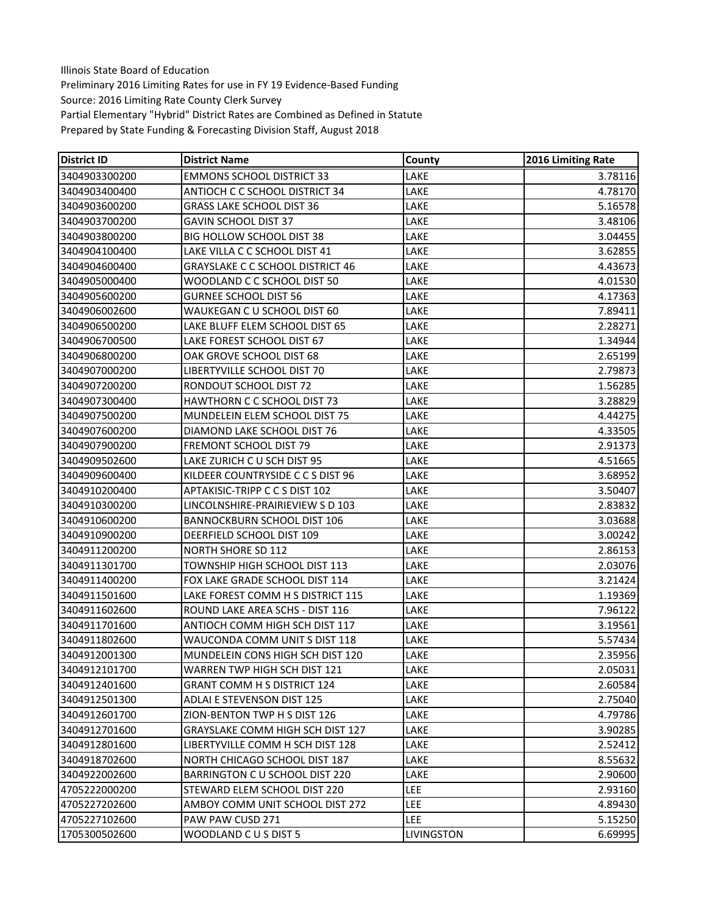| District ID   | <b>District Name</b>                    | County            | 2016 Limiting Rate |
|---------------|-----------------------------------------|-------------------|--------------------|
| 3404903300200 | <b>EMMONS SCHOOL DISTRICT 33</b>        | LAKE              | 3.78116            |
| 3404903400400 | ANTIOCH C C SCHOOL DISTRICT 34          | LAKE              | 4.78170            |
| 3404903600200 | <b>GRASS LAKE SCHOOL DIST 36</b>        | LAKE              | 5.16578            |
| 3404903700200 | <b>GAVIN SCHOOL DIST 37</b>             | LAKE              | 3.48106            |
| 3404903800200 | <b>BIG HOLLOW SCHOOL DIST 38</b>        | LAKE              | 3.04455            |
| 3404904100400 | LAKE VILLA C C SCHOOL DIST 41           | LAKE              | 3.62855            |
| 3404904600400 | <b>GRAYSLAKE C C SCHOOL DISTRICT 46</b> | LAKE              | 4.43673            |
| 3404905000400 | WOODLAND C C SCHOOL DIST 50             | LAKE              | 4.01530            |
| 3404905600200 | <b>GURNEE SCHOOL DIST 56</b>            | LAKE              | 4.17363            |
| 3404906002600 | WAUKEGAN C U SCHOOL DIST 60             | LAKE              | 7.89411            |
| 3404906500200 | LAKE BLUFF ELEM SCHOOL DIST 65          | LAKE              | 2.28271            |
| 3404906700500 | LAKE FOREST SCHOOL DIST 67              | LAKE              | 1.34944            |
| 3404906800200 | OAK GROVE SCHOOL DIST 68                | LAKE              | 2.65199            |
| 3404907000200 | LIBERTYVILLE SCHOOL DIST 70             | LAKE              | 2.79873            |
| 3404907200200 | RONDOUT SCHOOL DIST 72                  | LAKE              | 1.56285            |
| 3404907300400 | HAWTHORN C C SCHOOL DIST 73             | LAKE              | 3.28829            |
| 3404907500200 | MUNDELEIN ELEM SCHOOL DIST 75           | LAKE              | 4.44275            |
| 3404907600200 | DIAMOND LAKE SCHOOL DIST 76             | LAKE              | 4.33505            |
| 3404907900200 | <b>FREMONT SCHOOL DIST 79</b>           | LAKE              | 2.91373            |
| 3404909502600 | LAKE ZURICH C U SCH DIST 95             | LAKE              | 4.51665            |
| 3404909600400 | KILDEER COUNTRYSIDE C C S DIST 96       | LAKE              | 3.68952            |
| 3404910200400 | <b>APTAKISIC-TRIPP C C S DIST 102</b>   | LAKE              | 3.50407            |
| 3404910300200 | LINCOLNSHIRE-PRAIRIEVIEW S D 103        | LAKE              | 2.83832            |
| 3404910600200 | <b>BANNOCKBURN SCHOOL DIST 106</b>      | LAKE              | 3.03688            |
| 3404910900200 | DEERFIELD SCHOOL DIST 109               | LAKE              | 3.00242            |
| 3404911200200 | <b>NORTH SHORE SD 112</b>               | LAKE              | 2.86153            |
| 3404911301700 | TOWNSHIP HIGH SCHOOL DIST 113           | LAKE              | 2.03076            |
| 3404911400200 | FOX LAKE GRADE SCHOOL DIST 114          | LAKE              | 3.21424            |
| 3404911501600 | LAKE FOREST COMM H S DISTRICT 115       | LAKE              | 1.19369            |
| 3404911602600 | ROUND LAKE AREA SCHS - DIST 116         | LAKE              | 7.96122            |
| 3404911701600 | ANTIOCH COMM HIGH SCH DIST 117          | LAKE              | 3.19561            |
| 3404911802600 | WAUCONDA COMM UNIT S DIST 118           | LAKE              | 5.57434            |
| 3404912001300 | MUNDELEIN CONS HIGH SCH DIST 120        | LAKE              | 2.35956            |
| 3404912101700 | WARREN TWP HIGH SCH DIST 121            | LAKE              | 2.05031            |
| 3404912401600 | <b>GRANT COMM H S DISTRICT 124</b>      | LAKE              | 2.60584            |
| 3404912501300 | ADLAI E STEVENSON DIST 125              | LAKE              | 2.75040            |
| 3404912601700 | ZION-BENTON TWP H S DIST 126            | LAKE              | 4.79786            |
| 3404912701600 | GRAYSLAKE COMM HIGH SCH DIST 127        | LAKE              | 3.90285            |
| 3404912801600 | LIBERTYVILLE COMM H SCH DIST 128        | LAKE              | 2.52412            |
| 3404918702600 | NORTH CHICAGO SCHOOL DIST 187           | LAKE              | 8.55632            |
| 3404922002600 | BARRINGTON C U SCHOOL DIST 220          | LAKE              | 2.90600            |
| 4705222000200 | STEWARD ELEM SCHOOL DIST 220            | LEE               | 2.93160            |
| 4705227202600 | AMBOY COMM UNIT SCHOOL DIST 272         | <b>LEE</b>        | 4.89430            |
| 4705227102600 | PAW PAW CUSD 271                        | <b>LEE</b>        | 5.15250            |
| 1705300502600 | WOODLAND CUS DIST 5                     | <b>LIVINGSTON</b> | 6.69995            |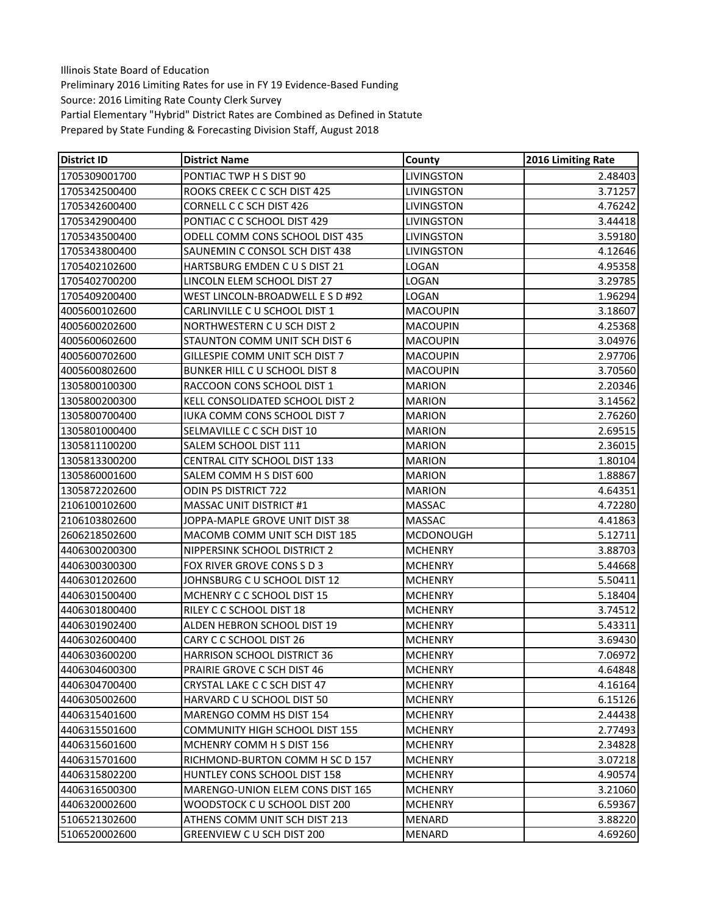| <b>District ID</b> | <b>District Name</b>                   | County           | 2016 Limiting Rate |
|--------------------|----------------------------------------|------------------|--------------------|
| 1705309001700      | PONTIAC TWP H S DIST 90                | LIVINGSTON       | 2.48403            |
| 1705342500400      | ROOKS CREEK C C SCH DIST 425           | LIVINGSTON       | 3.71257            |
| 1705342600400      | CORNELL C C SCH DIST 426               | LIVINGSTON       | 4.76242            |
| 1705342900400      | PONTIAC C C SCHOOL DIST 429            | LIVINGSTON       | 3.44418            |
| 1705343500400      | <b>ODELL COMM CONS SCHOOL DIST 435</b> | LIVINGSTON       | 3.59180            |
| 1705343800400      | SAUNEMIN C CONSOL SCH DIST 438         | LIVINGSTON       | 4.12646            |
| 1705402102600      | HARTSBURG EMDEN CUS DIST 21            | LOGAN            | 4.95358            |
| 1705402700200      | LINCOLN ELEM SCHOOL DIST 27            | LOGAN            | 3.29785            |
| 1705409200400      | WEST LINCOLN-BROADWELL E S D #92       | LOGAN            | 1.96294            |
| 4005600102600      | CARLINVILLE C U SCHOOL DIST 1          | <b>MACOUPIN</b>  | 3.18607            |
| 4005600202600      | NORTHWESTERN CU SCH DIST 2             | <b>MACOUPIN</b>  | 4.25368            |
| 4005600602600      | STAUNTON COMM UNIT SCH DIST 6          | MACOUPIN         | 3.04976            |
| 4005600702600      | GILLESPIE COMM UNIT SCH DIST 7         | <b>MACOUPIN</b>  | 2.97706            |
| 4005600802600      | BUNKER HILL C U SCHOOL DIST 8          | <b>MACOUPIN</b>  | 3.70560            |
| 1305800100300      | RACCOON CONS SCHOOL DIST 1             | <b>MARION</b>    | 2.20346            |
| 1305800200300      | KELL CONSOLIDATED SCHOOL DIST 2        | <b>MARION</b>    | 3.14562            |
| 1305800700400      | <b>IUKA COMM CONS SCHOOL DIST 7</b>    | <b>MARION</b>    | 2.76260            |
| 1305801000400      | SELMAVILLE C C SCH DIST 10             | <b>MARION</b>    | 2.69515            |
| 1305811100200      | SALEM SCHOOL DIST 111                  | <b>MARION</b>    | 2.36015            |
| 1305813300200      | CENTRAL CITY SCHOOL DIST 133           | <b>MARION</b>    | 1.80104            |
| 1305860001600      | SALEM COMM H S DIST 600                | <b>MARION</b>    | 1.88867            |
| 1305872202600      | <b>ODIN PS DISTRICT 722</b>            | <b>MARION</b>    | 4.64351            |
| 2106100102600      | <b>MASSAC UNIT DISTRICT #1</b>         | MASSAC           | 4.72280            |
| 2106103802600      | JOPPA-MAPLE GROVE UNIT DIST 38         | MASSAC           | 4.41863            |
| 2606218502600      | MACOMB COMM UNIT SCH DIST 185          | <b>MCDONOUGH</b> | 5.12711            |
| 4406300200300      | NIPPERSINK SCHOOL DISTRICT 2           | <b>MCHENRY</b>   | 3.88703            |
| 4406300300300      | FOX RIVER GROVE CONS S D 3             | <b>MCHENRY</b>   | 5.44668            |
| 4406301202600      | JOHNSBURG C U SCHOOL DIST 12           | <b>MCHENRY</b>   | 5.50411            |
| 4406301500400      | MCHENRY C C SCHOOL DIST 15             | <b>MCHENRY</b>   | 5.18404            |
| 4406301800400      | RILEY C C SCHOOL DIST 18               | <b>MCHENRY</b>   | 3.74512            |
| 4406301902400      | ALDEN HEBRON SCHOOL DIST 19            | <b>MCHENRY</b>   | 5.43311            |
| 4406302600400      | CARY C C SCHOOL DIST 26                | <b>MCHENRY</b>   | 3.69430            |
| 4406303600200      | HARRISON SCHOOL DISTRICT 36            | <b>MCHENRY</b>   | 7.06972            |
| 4406304600300      | PRAIRIE GROVE C SCH DIST 46            | <b>MCHENRY</b>   | 4.64848            |
| 4406304700400      | CRYSTAL LAKE C C SCH DIST 47           | <b>MCHENRY</b>   | 4.16164            |
| 4406305002600      | HARVARD C U SCHOOL DIST 50             | <b>MCHENRY</b>   | 6.15126            |
| 4406315401600      | MARENGO COMM HS DIST 154               | <b>MCHENRY</b>   | 2.44438            |
| 4406315501600      | <b>COMMUNITY HIGH SCHOOL DIST 155</b>  | <b>MCHENRY</b>   | 2.77493            |
| 4406315601600      | MCHENRY COMM H S DIST 156              | <b>MCHENRY</b>   | 2.34828            |
| 4406315701600      | RICHMOND-BURTON COMM H SC D 157        | <b>MCHENRY</b>   | 3.07218            |
| 4406315802200      | HUNTLEY CONS SCHOOL DIST 158           | <b>MCHENRY</b>   | 4.90574            |
| 4406316500300      | MARENGO-UNION ELEM CONS DIST 165       | <b>MCHENRY</b>   | 3.21060            |
| 4406320002600      | WOODSTOCK C U SCHOOL DIST 200          | <b>MCHENRY</b>   | 6.59367            |
| 5106521302600      | ATHENS COMM UNIT SCH DIST 213          | MENARD           | 3.88220            |
| 5106520002600      | GREENVIEW C U SCH DIST 200             | MENARD           | 4.69260            |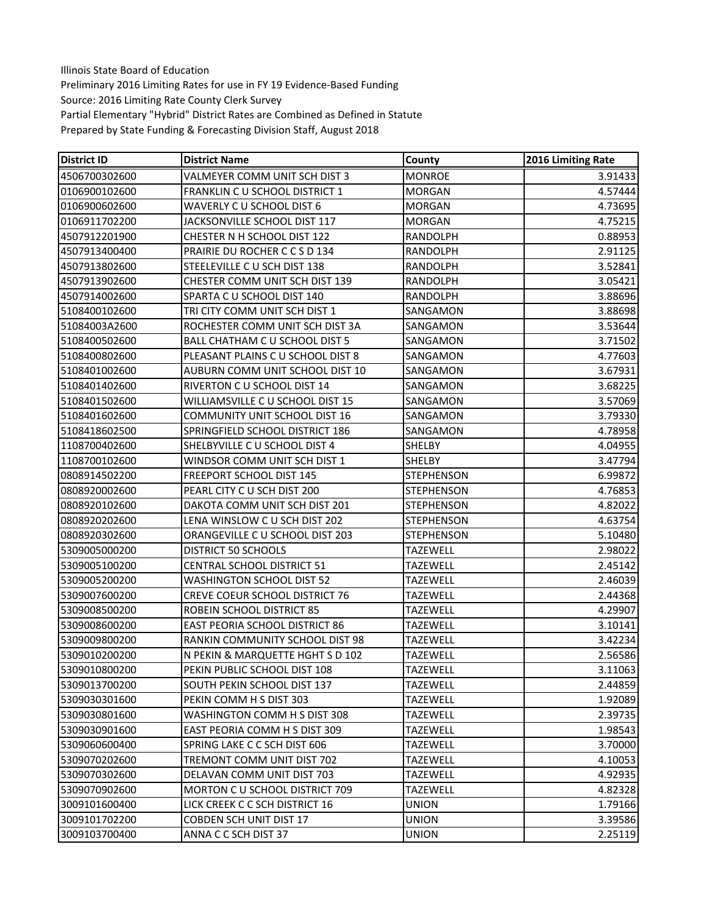| <b>District ID</b> | <b>District Name</b>                  | County            | 2016 Limiting Rate |
|--------------------|---------------------------------------|-------------------|--------------------|
| 4506700302600      | VALMEYER COMM UNIT SCH DIST 3         | <b>MONROE</b>     | 3.91433            |
| 0106900102600      | FRANKLIN C U SCHOOL DISTRICT 1        | <b>MORGAN</b>     | 4.57444            |
| 0106900602600      | WAVERLY C U SCHOOL DIST 6             | <b>MORGAN</b>     | 4.73695            |
| 0106911702200      | JACKSONVILLE SCHOOL DIST 117          | <b>MORGAN</b>     | 4.75215            |
| 4507912201900      | CHESTER N H SCHOOL DIST 122           | RANDOLPH          | 0.88953            |
| 4507913400400      | PRAIRIE DU ROCHER C C S D 134         | RANDOLPH          | 2.91125            |
| 4507913802600      | STEELEVILLE C U SCH DIST 138          | RANDOLPH          | 3.52841            |
| 4507913902600      | CHESTER COMM UNIT SCH DIST 139        | RANDOLPH          | 3.05421            |
| 4507914002600      | SPARTA C U SCHOOL DIST 140            | <b>RANDOLPH</b>   | 3.88696            |
| 5108400102600      | TRI CITY COMM UNIT SCH DIST 1         | SANGAMON          | 3.88698            |
| 51084003A2600      | ROCHESTER COMM UNIT SCH DIST 3A       | SANGAMON          | 3.53644            |
| 5108400502600      | BALL CHATHAM C U SCHOOL DIST 5        | SANGAMON          | 3.71502            |
| 5108400802600      | PLEASANT PLAINS C U SCHOOL DIST 8     | SANGAMON          | 4.77603            |
| 5108401002600      | AUBURN COMM UNIT SCHOOL DIST 10       | SANGAMON          | 3.67931            |
| 5108401402600      | RIVERTON C U SCHOOL DIST 14           | SANGAMON          | 3.68225            |
| 5108401502600      | WILLIAMSVILLE C U SCHOOL DIST 15      | SANGAMON          | 3.57069            |
| 5108401602600      | <b>COMMUNITY UNIT SCHOOL DIST 16</b>  | SANGAMON          | 3.79330            |
| 5108418602500      | SPRINGFIELD SCHOOL DISTRICT 186       | SANGAMON          | 4.78958            |
| 1108700402600      | SHELBYVILLE C U SCHOOL DIST 4         | <b>SHELBY</b>     | 4.04955            |
| 1108700102600      | WINDSOR COMM UNIT SCH DIST 1          | <b>SHELBY</b>     | 3.47794            |
| 0808914502200      | FREEPORT SCHOOL DIST 145              | <b>STEPHENSON</b> | 6.99872            |
| 0808920002600      | PEARL CITY C U SCH DIST 200           | <b>STEPHENSON</b> | 4.76853            |
| 0808920102600      | DAKOTA COMM UNIT SCH DIST 201         | <b>STEPHENSON</b> | 4.82022            |
| 0808920202600      | LENA WINSLOW C U SCH DIST 202         | <b>STEPHENSON</b> | 4.63754            |
| 0808920302600      | ORANGEVILLE C U SCHOOL DIST 203       | <b>STEPHENSON</b> | 5.10480            |
| 5309005000200      | <b>DISTRICT 50 SCHOOLS</b>            | <b>TAZEWELL</b>   | 2.98022            |
| 5309005100200      | <b>CENTRAL SCHOOL DISTRICT 51</b>     | <b>TAZEWELL</b>   | 2.45142            |
| 5309005200200      | <b>WASHINGTON SCHOOL DIST 52</b>      | TAZEWELL          | 2.46039            |
| 5309007600200      | CREVE COEUR SCHOOL DISTRICT 76        | TAZEWELL          | 2.44368            |
| 5309008500200      | ROBEIN SCHOOL DISTRICT 85             | <b>TAZEWELL</b>   | 4.29907            |
| 5309008600200      | <b>EAST PEORIA SCHOOL DISTRICT 86</b> | TAZEWELL          | 3.10141            |
| 5309009800200      | RANKIN COMMUNITY SCHOOL DIST 98       | <b>TAZEWELL</b>   | 3.42234            |
| 5309010200200      | N PEKIN & MARQUETTE HGHT S D 102      | <b>TAZEWELL</b>   | 2.56586            |
| 5309010800200      | PEKIN PUBLIC SCHOOL DIST 108          | <b>TAZEWELL</b>   | 3.11063            |
| 5309013700200      | SOUTH PEKIN SCHOOL DIST 137           | TAZEWELL          | 2.44859            |
| 5309030301600      | PEKIN COMM H S DIST 303               | TAZEWELL          | 1.92089            |
| 5309030801600      | WASHINGTON COMM H S DIST 308          | <b>TAZEWELL</b>   | 2.39735            |
| 5309030901600      | EAST PEORIA COMM H S DIST 309         | TAZEWELL          | 1.98543            |
| 5309060600400      | SPRING LAKE C C SCH DIST 606          | <b>TAZEWELL</b>   | 3.70000            |
| 5309070202600      | TREMONT COMM UNIT DIST 702            | TAZEWELL          | 4.10053            |
| 5309070302600      | DELAVAN COMM UNIT DIST 703            | <b>TAZEWELL</b>   | 4.92935            |
| 5309070902600      | MORTON C U SCHOOL DISTRICT 709        | <b>TAZEWELL</b>   | 4.82328            |
| 3009101600400      | LICK CREEK C C SCH DISTRICT 16        | UNION             | 1.79166            |
| 3009101702200      | <b>COBDEN SCH UNIT DIST 17</b>        | <b>UNION</b>      | 3.39586            |
| 3009103700400      | ANNA C C SCH DIST 37                  | <b>UNION</b>      | 2.25119            |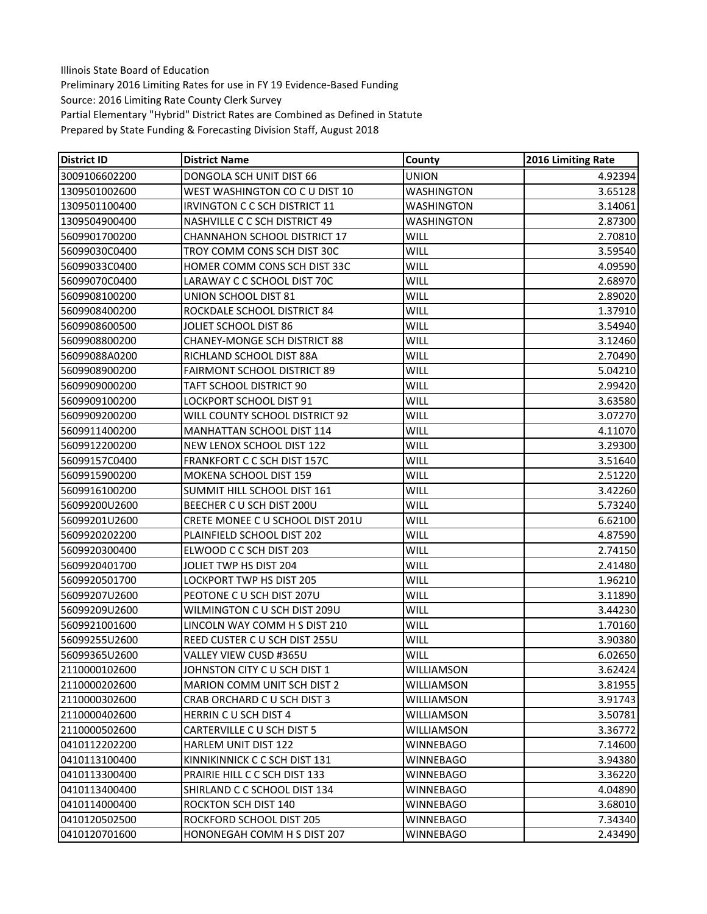| <b>District ID</b> | <b>District Name</b>                | County            | 2016 Limiting Rate |
|--------------------|-------------------------------------|-------------------|--------------------|
| 3009106602200      | DONGOLA SCH UNIT DIST 66            | <b>UNION</b>      | 4.92394            |
| 1309501002600      | WEST WASHINGTON CO C U DIST 10      | <b>WASHINGTON</b> | 3.65128            |
| 1309501100400      | IRVINGTON C C SCH DISTRICT 11       | WASHINGTON        | 3.14061            |
| 1309504900400      | NASHVILLE C C SCH DISTRICT 49       | <b>WASHINGTON</b> | 2.87300            |
| 5609901700200      | <b>CHANNAHON SCHOOL DISTRICT 17</b> | WILL              | 2.70810            |
| 56099030C0400      | TROY COMM CONS SCH DIST 30C         | WILL              | 3.59540            |
| 56099033C0400      | HOMER COMM CONS SCH DIST 33C        | WILL              | 4.09590            |
| 56099070C0400      | LARAWAY C C SCHOOL DIST 70C         | WILL              | 2.68970            |
| 5609908100200      | UNION SCHOOL DIST 81                | WILL              | 2.89020            |
| 5609908400200      | ROCKDALE SCHOOL DISTRICT 84         | WILL              | 1.37910            |
| 5609908600500      | JOLIET SCHOOL DIST 86               | WILL              | 3.54940            |
| 5609908800200      | <b>CHANEY-MONGE SCH DISTRICT 88</b> | WILL              | 3.12460            |
| 56099088A0200      | RICHLAND SCHOOL DIST 88A            | WILL              | 2.70490            |
| 5609908900200      | <b>FAIRMONT SCHOOL DISTRICT 89</b>  | WILL              | 5.04210            |
| 5609909000200      | TAFT SCHOOL DISTRICT 90             | <b>WILL</b>       | 2.99420            |
| 5609909100200      | LOCKPORT SCHOOL DIST 91             | WILL              | 3.63580            |
| 5609909200200      | WILL COUNTY SCHOOL DISTRICT 92      | WILL              | 3.07270            |
| 5609911400200      | MANHATTAN SCHOOL DIST 114           | WILL              | 4.11070            |
| 5609912200200      | NEW LENOX SCHOOL DIST 122           | WILL              | 3.29300            |
| 56099157C0400      | <b>FRANKFORT C C SCH DIST 157C</b>  | <b>WILL</b>       | 3.51640            |
| 5609915900200      | MOKENA SCHOOL DIST 159              | WILL              | 2.51220            |
| 5609916100200      | SUMMIT HILL SCHOOL DIST 161         | WILL              | 3.42260            |
| 56099200U2600      | BEECHER C U SCH DIST 200U           | WILL              | 5.73240            |
| 56099201U2600      | CRETE MONEE C U SCHOOL DIST 201U    | WILL              | 6.62100            |
| 5609920202200      | PLAINFIELD SCHOOL DIST 202          | WILL              | 4.87590            |
| 5609920300400      | ELWOOD C C SCH DIST 203             | WILL              | 2.74150            |
| 5609920401700      | JOLIET TWP HS DIST 204              | WILL              | 2.41480            |
| 5609920501700      | LOCKPORT TWP HS DIST 205            | WILL              | 1.96210            |
| 56099207U2600      | PEOTONE C U SCH DIST 207U           | WILL              | 3.11890            |
| 56099209U2600      | WILMINGTON CU SCH DIST 209U         | WILL              | 3.44230            |
| 5609921001600      | LINCOLN WAY COMM H S DIST 210       | WILL              | 1.70160            |
| 56099255U2600      | REED CUSTER C U SCH DIST 255U       | WILL              | 3.90380            |
| 56099365U2600      | VALLEY VIEW CUSD #365U              | WILL              | 6.02650            |
| 2110000102600      | JOHNSTON CITY C U SCH DIST 1        | WILLIAMSON        | 3.62424            |
| 2110000202600      | <b>MARION COMM UNIT SCH DIST 2</b>  | WILLIAMSON        | 3.81955            |
| 2110000302600      | CRAB ORCHARD C U SCH DIST 3         | WILLIAMSON        | 3.91743            |
| 2110000402600      | <b>HERRIN C U SCH DIST 4</b>        | WILLIAMSON        | 3.50781            |
| 2110000502600      | <b>CARTERVILLE C U SCH DIST 5</b>   | WILLIAMSON        | 3.36772            |
| 0410112202200      | HARLEM UNIT DIST 122                | WINNEBAGO         | 7.14600            |
| 0410113100400      | KINNIKINNICK C C SCH DIST 131       | <b>WINNEBAGO</b>  | 3.94380            |
| 0410113300400      | PRAIRIE HILL C C SCH DIST 133       | <b>WINNEBAGO</b>  | 3.36220            |
| 0410113400400      | SHIRLAND C C SCHOOL DIST 134        | WINNEBAGO         | 4.04890            |
| 0410114000400      | ROCKTON SCH DIST 140                | WINNEBAGO         | 3.68010            |
| 0410120502500      | ROCKFORD SCHOOL DIST 205            | WINNEBAGO         | 7.34340            |
| 0410120701600      | HONONEGAH COMM H S DIST 207         | WINNEBAGO         | 2.43490            |